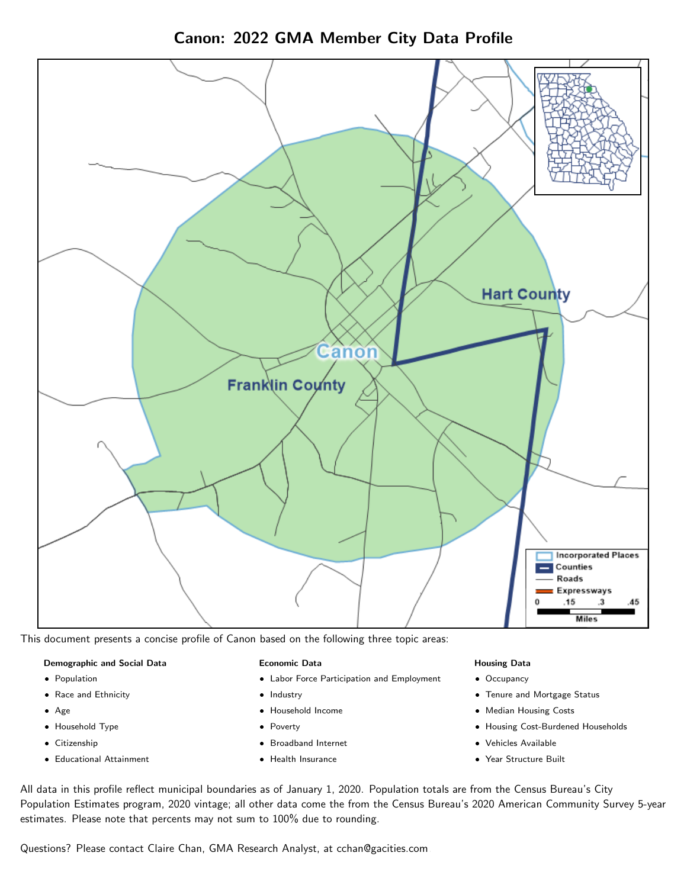Canon: 2022 GMA Member City Data Profile



This document presents a concise profile of Canon based on the following three topic areas:

### Demographic and Social Data

- **•** Population
- Race and Ethnicity
- Age
- Household Type
- **Citizenship**
- Educational Attainment

### Economic Data

- Labor Force Participation and Employment
- Industry
- Household Income
- Poverty
- Broadband Internet
- Health Insurance

### Housing Data

- Occupancy
- Tenure and Mortgage Status
- Median Housing Costs
- Housing Cost-Burdened Households
- Vehicles Available
- Year Structure Built

All data in this profile reflect municipal boundaries as of January 1, 2020. Population totals are from the Census Bureau's City Population Estimates program, 2020 vintage; all other data come the from the Census Bureau's 2020 American Community Survey 5-year estimates. Please note that percents may not sum to 100% due to rounding.

Questions? Please contact Claire Chan, GMA Research Analyst, at [cchan@gacities.com.](mailto:cchan@gacities.com)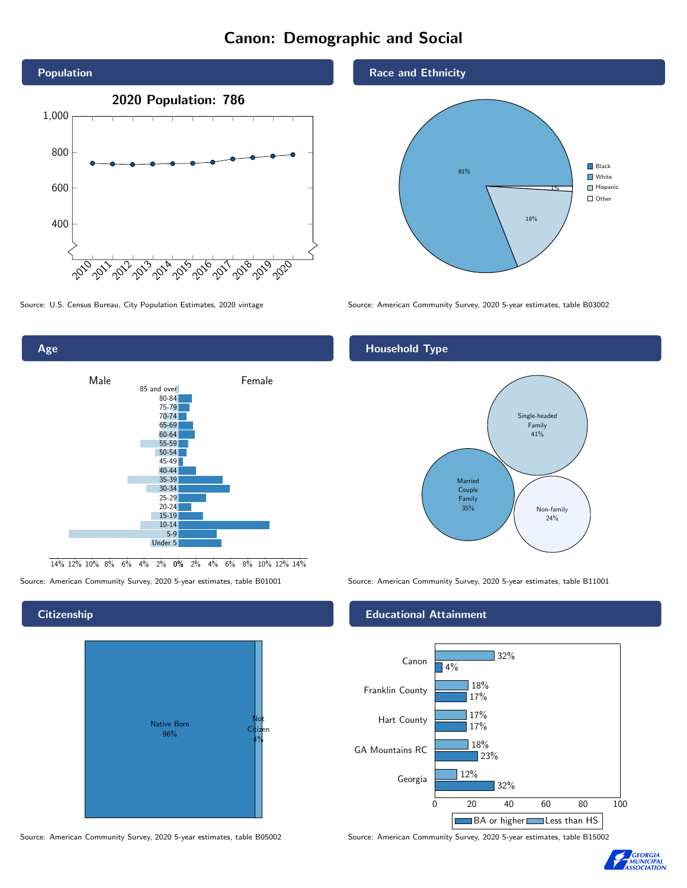## Canon: Demographic and Social





0% 2% 4% 6% 8% 10% 12% 14% 14% 12% 10% 8% 6% 4% 2%

## **Citizenship**



Source: American Community Survey, 2020 5-year estimates, table B05002 Source: American Community Survey, 2020 5-year estimates, table B15002

## Race and Ethnicity



Source: U.S. Census Bureau, City Population Estimates, 2020 vintage Source: American Community Survey, 2020 5-year estimates, table B03002

## Household Type



Source: American Community Survey, 2020 5-year estimates, table B01001 Source: American Community Survey, 2020 5-year estimates, table B11001

## Educational Attainment



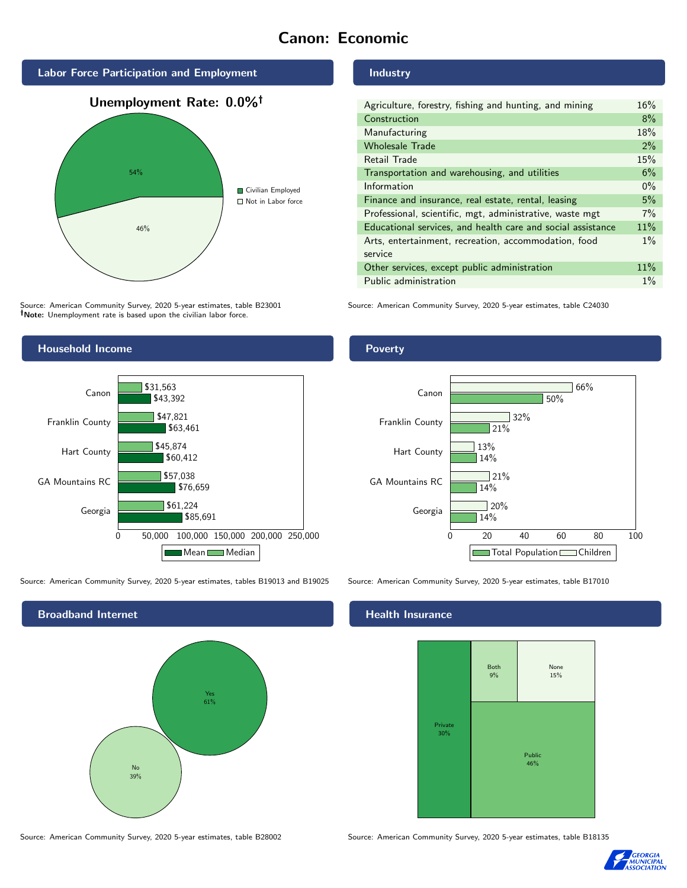## Canon: Economic



Source: American Community Survey, 2020 5-year estimates, table B23001 Note: Unemployment rate is based upon the civilian labor force.

## Industry

| Agriculture, forestry, fishing and hunting, and mining      | 16%   |
|-------------------------------------------------------------|-------|
| Construction                                                | 8%    |
| Manufacturing                                               | 18%   |
| <b>Wholesale Trade</b>                                      | 2%    |
| Retail Trade                                                | 15%   |
| Transportation and warehousing, and utilities               | 6%    |
| Information                                                 | $0\%$ |
| Finance and insurance, real estate, rental, leasing         | 5%    |
| Professional, scientific, mgt, administrative, waste mgt    | 7%    |
| Educational services, and health care and social assistance | 11%   |
| Arts, entertainment, recreation, accommodation, food        | $1\%$ |
| service                                                     |       |
| Other services, except public administration                | 11%   |
| Public administration                                       | $1\%$ |

Source: American Community Survey, 2020 5-year estimates, table C24030



Source: American Community Survey, 2020 5-year estimates, tables B19013 and B19025 Source: American Community Survey, 2020 5-year estimates, table B17010

Broadband Internet No 39% Yes 61%

Source: American Community Survey, 2020 5-year estimates, table B28002 Source: American Community Survey, 2020 5-year estimates, table B18135

Poverty



## Health Insurance